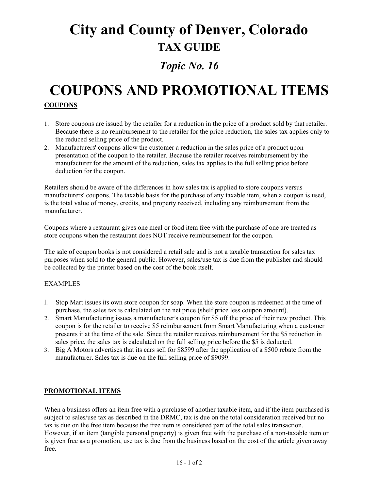# **City and County of Denver, Colorado TAX GUIDE**

### *Topic No. 16*

## **COUPONS AND PROMOTIONAL ITEMS COUPONS**

- 1. Store coupons are issued by the retailer for a reduction in the price of a product sold by that retailer. Because there is no reimbursement to the retailer for the price reduction, the sales tax applies only to the reduced selling price of the product.
- 2. Manufacturers' coupons allow the customer a reduction in the sales price of a product upon presentation of the coupon to the retailer. Because the retailer receives reimbursement by the manufacturer for the amount of the reduction, sales tax applies to the full selling price before deduction for the coupon.

Retailers should be aware of the differences in how sales tax is applied to store coupons versus manufacturers' coupons. The taxable basis for the purchase of any taxable item, when a coupon is used, is the total value of money, credits, and property received, including any reimbursement from the manufacturer.

Coupons where a restaurant gives one meal or food item free with the purchase of one are treated as store coupons when the restaurant does NOT receive reimbursement for the coupon.

The sale of coupon books is not considered a retail sale and is not a taxable transaction for sales tax purposes when sold to the general public. However, sales/use tax is due from the publisher and should be collected by the printer based on the cost of the book itself.

#### EXAMPLES

- l. Stop Mart issues its own store coupon for soap. When the store coupon is redeemed at the time of purchase, the sales tax is calculated on the net price (shelf price less coupon amount).
- 2. Smart Manufacturing issues a manufacturer's coupon for \$5 off the price of their new product. This coupon is for the retailer to receive \$5 reimbursement from Smart Manufacturing when a customer presents it at the time of the sale. Since the retailer receives reimbursement for the \$5 reduction in sales price, the sales tax is calculated on the full selling price before the \$5 is deducted.
- 3. Big A Motors advertises that its cars sell for \$8599 after the application of a \$500 rebate from the manufacturer. Sales tax is due on the full selling price of \$9099.

#### **PROMOTIONAL ITEMS**

When a business offers an item free with a purchase of another taxable item, and if the item purchased is subject to sales/use tax as described in the DRMC, tax is due on the total consideration received but no tax is due on the free item because the free item is considered part of the total sales transaction. However, if an item (tangible personal property) is given free with the purchase of a non-taxable item or is given free as a promotion, use tax is due from the business based on the cost of the article given away free.